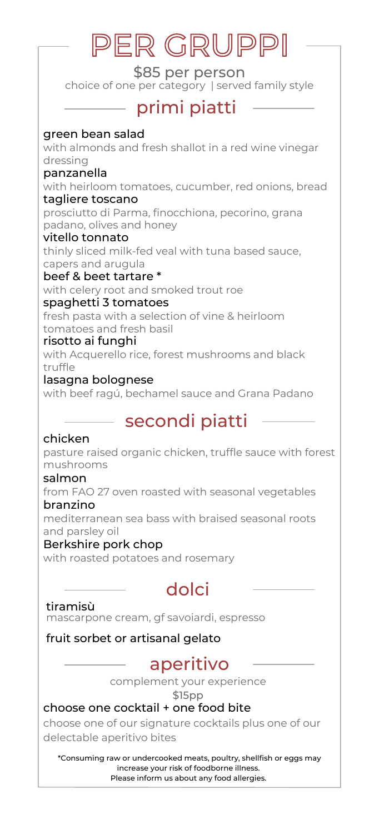# PER GRUPPI

\$85 per person choice of one per category | served family style

# primi piatti

green bean salad

with almonds and fresh shallot in a red wine vinegar dressing

#### panzanella

with heirloom tomatoes, cucumber, red onions, bread tagliere toscano

prosciutto di Parma, finocchiona, pecorino, grana padano, olives and honey

vitello tonnato thinly sliced milk-fed veal with tuna based sauce, capers and arugula

#### beef & beet tartare \*

with celery root and smoked trout roe

#### spaghetti 3 tomatoes

fresh pasta with a selection of vine & heirloom tomatoes and fresh basil

#### risotto ai funghi

with Acquerello rice, forest mushrooms and black truffle

#### lasagna bolognese

with beef ragú, bechamel sauce and Grana Padano

# secondi piatti

#### chicken

pasture raised organic chicken, truffle sauce with forest mushrooms

#### salmon

from FAO 27 oven roasted with seasonal vegetables branzino

mediterranean sea bass with braised seasonal roots and parsley oil

#### Berkshire pork chop

with roasted potatoes and rosemary

# dolci

#### tiramisù

mascarpone cream, gf savoiardi, espresso

#### fruit sorbet or artisanal gelato

### aperitivo

complement your experience

\$15pp

#### choose one cocktail + one food bite

choose one of our signature cocktails plus one of our delectable aperitivo bites

\*Consuming raw or undercooked meats, poultry, shellfish or eggs may increase your risk of foodborne illness. Please inform us about any food allergies.